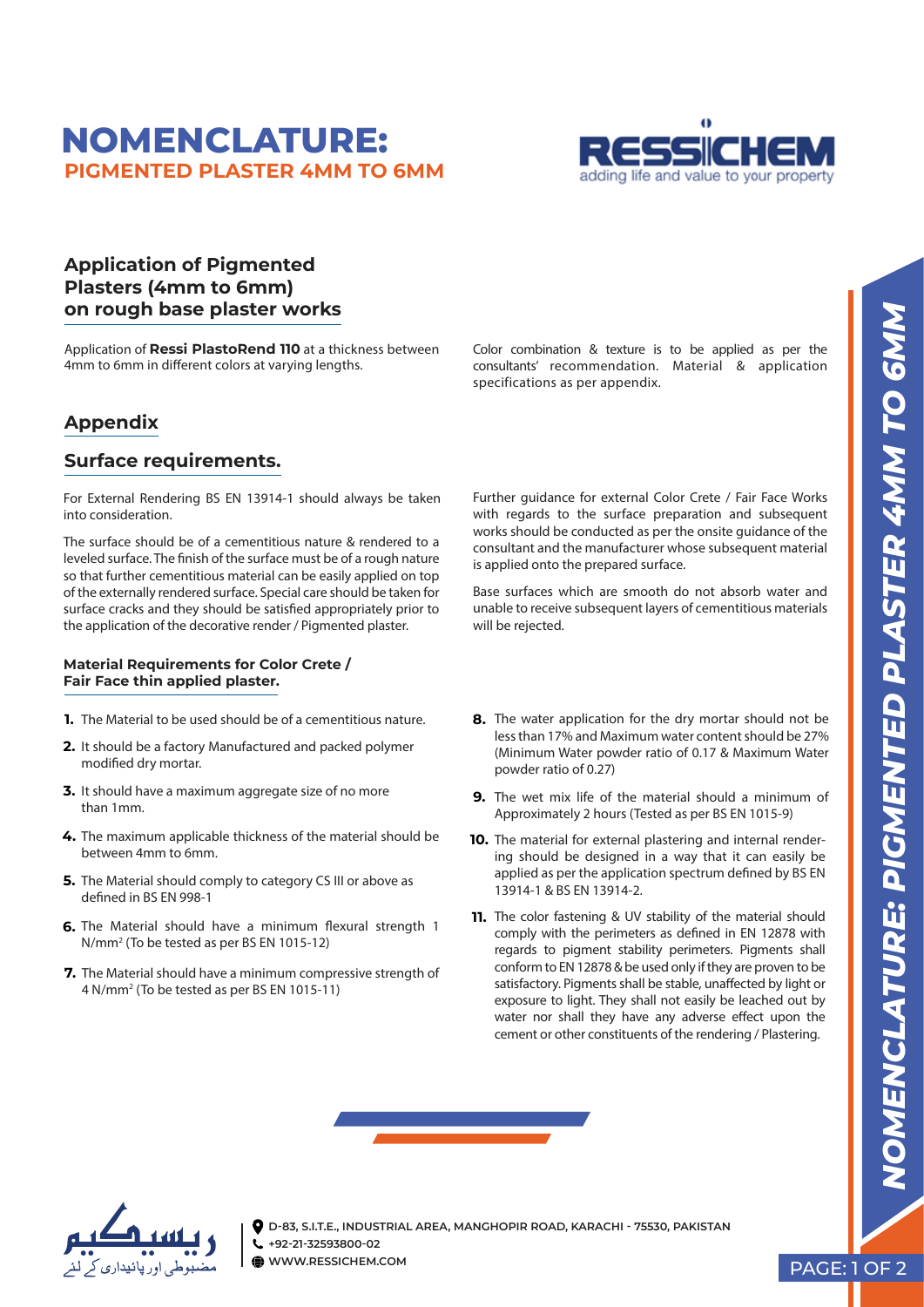# **NOMENCLATURE: PIGMENTED PLASTER 4MM TO 6MM**



### **Application of Pigmented Plasters (4mm to 6mm) on rough base plaster works**

Application of **Ressi PlastoRend 110** at a thickness between 4mm to 6mm in different colors at varying lengths.

## **Appendix**

### **Surface requirements.**

For External Rendering BS EN 13914-1 should always be taken into consideration.

The surface should be of a cementitious nature & rendered to a leveled surface. The finish of the surface must be of a rough nature so that further cementitious material can be easily applied on top of the externally rendered surface. Special care should be taken for surface cracks and they should be satisfied appropriately prior to the application of the decorative render / Pigmented plaster.

#### **Material Requirements for Color Crete / Fair Face thin applied plaster.**

- The Material to be used should be of a cementitious nature. **1.**
- **2.** It should be a factory Manufactured and packed polymer modified dry mortar.
- **3.** It should have a maximum aggregate size of no more than 1mm.
- 4. The maximum applicable thickness of the material should be between 4mm to 6mm.
- **5.** The Material should comply to category CS III or above as defined in BS FN 998-1
- 6. The Material should have a minimum flexural strength 1 N/mm2 (To be tested as per BS EN 1015-12)
- **7.** The Material should have a minimum compressive strength of 4 N/mm2 (To be tested as per BS EN 1015-11)

Color combination & texture is to be applied as per the consultants' recommendation. Material & application specifications as per appendix.

Further guidance for external Color Crete / Fair Face Works with regards to the surface preparation and subsequent works should be conducted as per the onsite guidance of the consultant and the manufacturer whose subsequent material is applied onto the prepared surface.

Base surfaces which are smooth do not absorb water and unable to receive subsequent layers of cementitious materials will be rejected.

- **8.** The water application for the dry mortar should not be less than 17% and Maximum water content should be 27% (Minimum Water powder ratio of 0.17 & Maximum Water powder ratio of 0.27)
- **9.** The wet mix life of the material should a minimum of Approximately 2 hours (Tested as per BS EN 1015-9)
- **10.** The material for external plastering and internal rendering should be designed in a way that it can easily be applied as per the application spectrum defined by BS EN 13914-1 & BS EN 13914-2.
- **11.** The color fastening & UV stability of the material should comply with the perimeters as defined in EN 12878 with regards to pigment stability perimeters. Pigments shall conform to EN 12878 & be used only if they are proven to be satisfactory. Pigments shall be stable, unaffected by light or exposure to light. They shall not easily be leached out by water nor shall they have any adverse effect upon the cement or other constituents of the rendering / Plastering.





**D-83, S.I.T.E., INDUSTRIAL AREA, MANGHOPIR ROAD, KARACHI - 75530, PAKISTAN +92-21-32593800-02 WWW.RESSICHEM.COM** 

PAGE: 1 OF 2